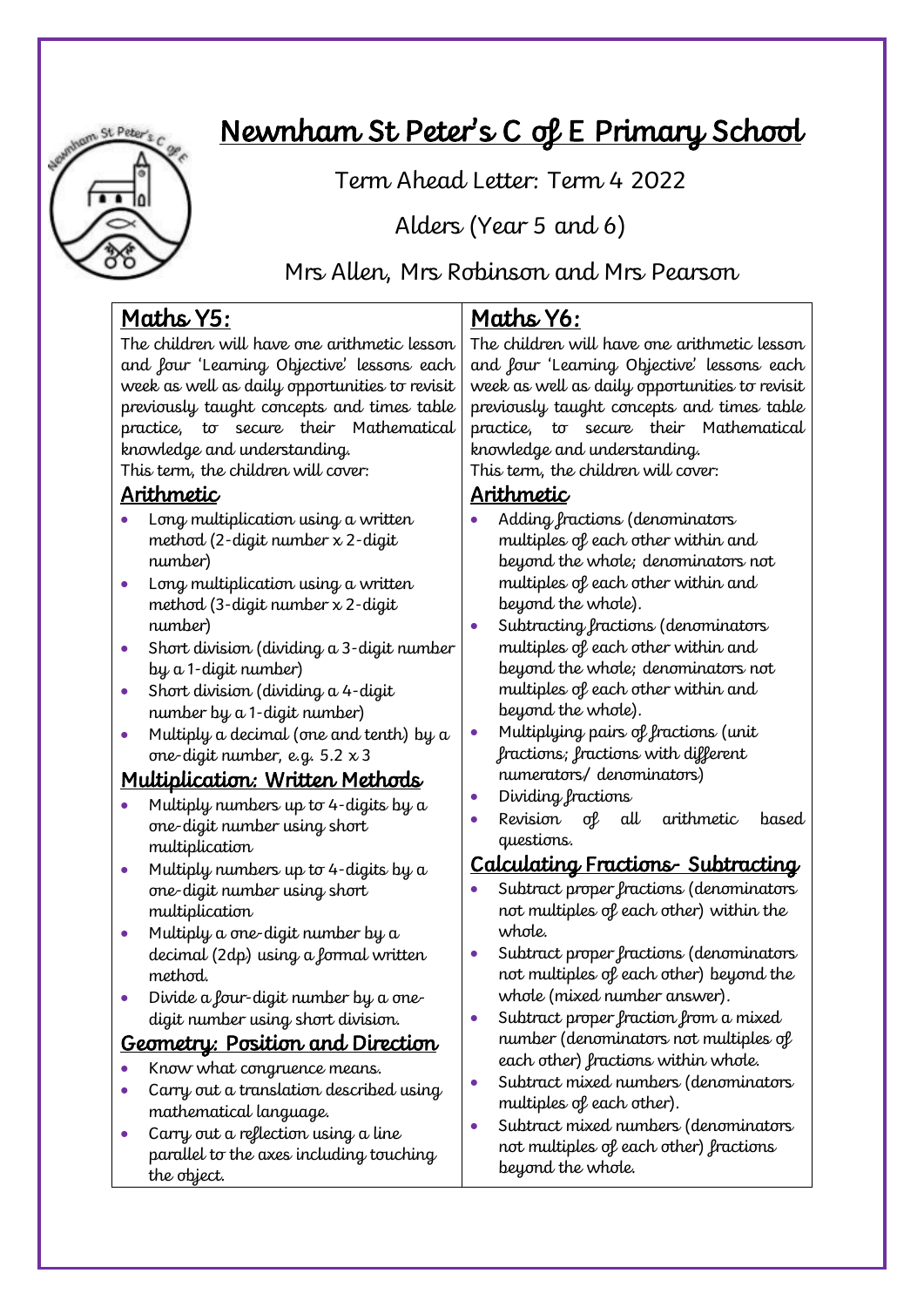

# Newnham St Peter's C of E Primary School

Term, Ahead, Letter: Term, 4 2022

Alders (Year 5 and 6)

Mrs Allen, Mrs Robinson and Mrs Pearson

# Maths Y5:

The children will have one arithmetic lesson and four 'Learning Objective' lessons each week as well as daily opportunities to revisit previously taught concepts and times table practice, to secure their Mathematical knowledge and understanding.

This term, the children will cover:

### Arithmetic

- Long multiplication using a written method (2-digit number x 2-digit number)
- Long multiplication using a written method (3-digit number x 2-digit number)
- Short division (dividing a 3-digit number by a 1-digit number)
- Short division (dividing a 4-digit number by a 1-digit number)
- Multiply a decimal (one and tenth) by a one-digit number, e.g.  $5.2 \times 3$

# Multiplication: Written Methods

- Multiply numbers up to 4-digits by a one-digit number using short multiplication
- Multiply numbers up to 4-digits by  $a$ one-digit number using short multiplication
- Multiply a one-digit number by a decimal (2dp) using a formal written method.
- Divide a four-digit number by a onedigit number using short division.

# Geometry: Position and Direction

- Know what congruence means.
- Carry out a translation described using mathematical language.
- Carry out a reflection using a line parallel to the axes including touching the object.

# Maths Y6:

The children will have one arithmetic lesson and four 'Learning Objective' lessons each week as well as daily opportunities to revisit previously taught concepts and times table practice, to secure their Mathematical knowledge and understanding.

This term, the children will cover:

### Arithmetic

- Adding fractions (denominators multiples of each other within and beyond the whole; denominators not multiples of each other within and beyond the whole).
- Subtracting fractions (denominators multiples of each other within and beyond the whole; denominators not multiples of each other within and beyond the whole).
- Multiplying pairs of fractions (unit fractions; fractions with different numerators/ denominators)
- Dividing fractions
- Revision of all arithmetic based questions.

# Calculating Fractions- Subtracting

- Subtract proper fractions (denominators not multiples of each other) within the whole.
- Subtract proper fractions (denominators not multiples of each other) beyond the whole (mixed number answer).
- Subtract proper fraction from a mixed number (denominators not multiples of each other) fractions within whole.
- Subtract mixed numbers (denominators multiples of each other).
- Subtract mixed numbers (denominators not multiples of each other) fractions beyond the whole.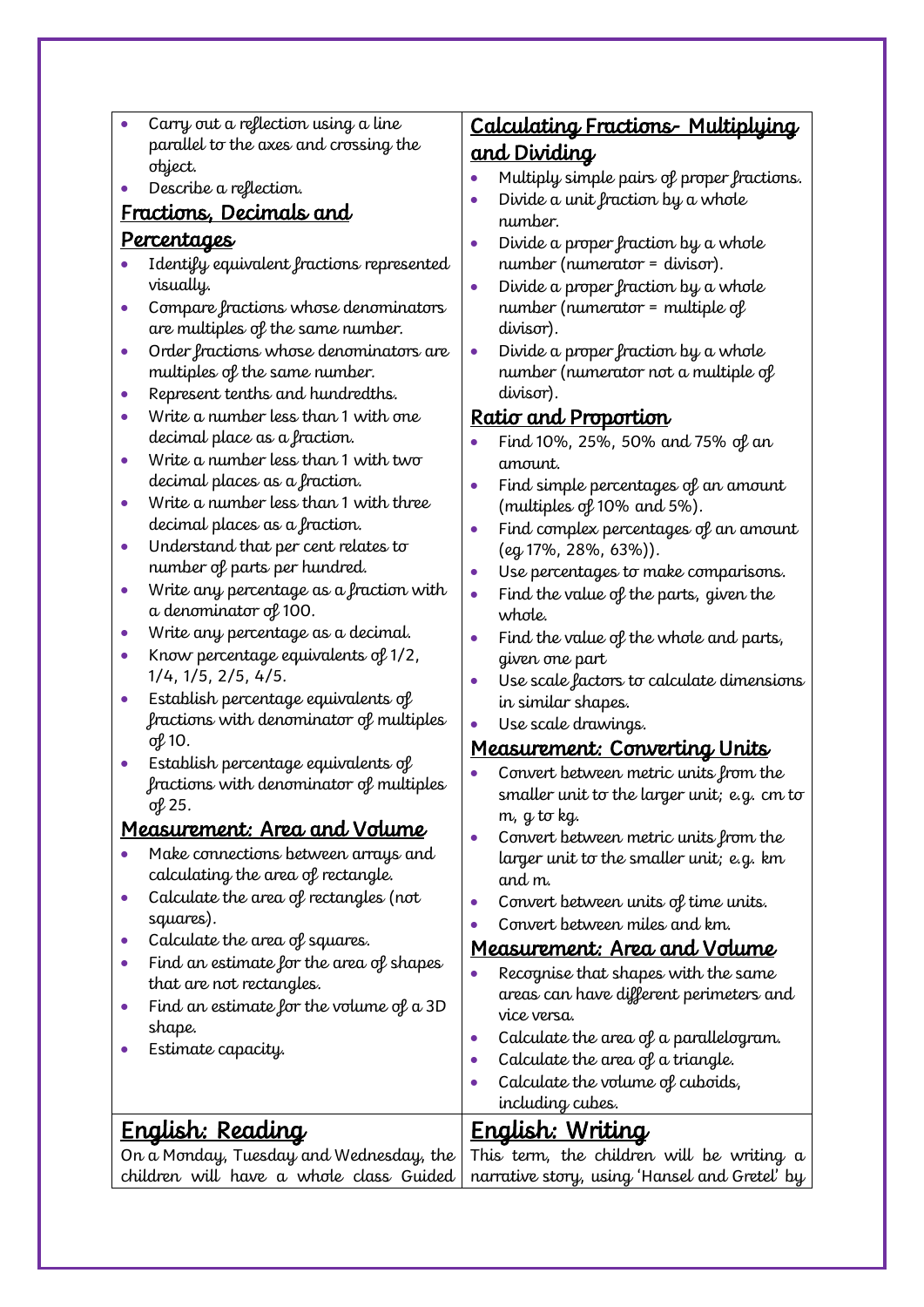- Carry out a reflection using a line parallel to the axes and crossing the object.
- Describe a reflection.

### Fractions, Decimals and

#### Percentages

- Identify equivalent fractions represented visually.
- Compare fractions whose denominators are multiples of the same number.
- Order fractions whose denominators are multiples of the same number.
- Represent tenths and hundredths.
- Write a number less than 1 with one decimal place as a fraction.
- Write a number less than 1 with two decimal places as a fraction.
- Write a number less than 1 with three decimal places as a fraction.
- Understand that per cent relates to number of parts per hundred.
- Write any percentage as a fraction with a denominator of 100.
- Write any percentage as a decimal.
- Know percentage equivalents of 1/2, 1/4, 1/5, 2/5, 4/5.
- Establish percentage equivalents of fractions with denominator of multiples of 10.
- Establish percentage equivalents of fractions with denominator of multiples of 25.

### Measurement: Area and Volume

- Make connections between arrays and calculating the area of rectangle.
- Calculate the area of rectangles (not squares).
- Calculate the area of squares.
- Find an estimate for the area of shapes that are not rectangles.
- Find an estimate for the volume of a 3D shape.
- Estimate capacity.

English: Reading

## Calculating Fractions- Multiplying and Dividing

- Multiply simple pairs of proper fractions.
- Divide a unit fraction by a whole number.
- Divide a proper fraction by a whole number (numerator = divisor).
- Divide a proper fraction by a whole number (numerator = multiple of divisor).
- Divide a proper fraction by a whole number (numerator not a multiple of divisor).

### Ratio and Proportion

- Find 10%, 25%, 50% and 75% of an amount.
- Find simple percentages of an amount (multiples of 10% and 5%).
- Find complex percentages of an amount (eg 17%, 28%, 63%)).
- Use percentages to make comparisons.
- Find the value of the parts, given the whole.
- Find the value of the whole and parts, given one part
- Use scale factors to calculate dimensions in similar shapes.
- Use scale drawings.

### Measurement: Converting Units

- Convert between metric units from the smaller unit to the larger unit; e.g. cm to m, g to kg.
- Convert between metric units from the larger unit to the smaller unit; e.g. km and m.
- Convert between units of time units.
- Convert between miles and km.

#### Measurement: Area and Volume

- Recognise that shapes with the same areas can have different perimeters and vice versa.
- Calculate the area of a parallelogram.
- Calculate the area of a triangle.
- Calculate the volume of cuboids,
	- including cubes.

# English: Writing

On a Monday, Tuesday and Wednesday, the children will have a whole class Guided This term, the children will be writing a narrative story, using 'Hansel and Gretel' by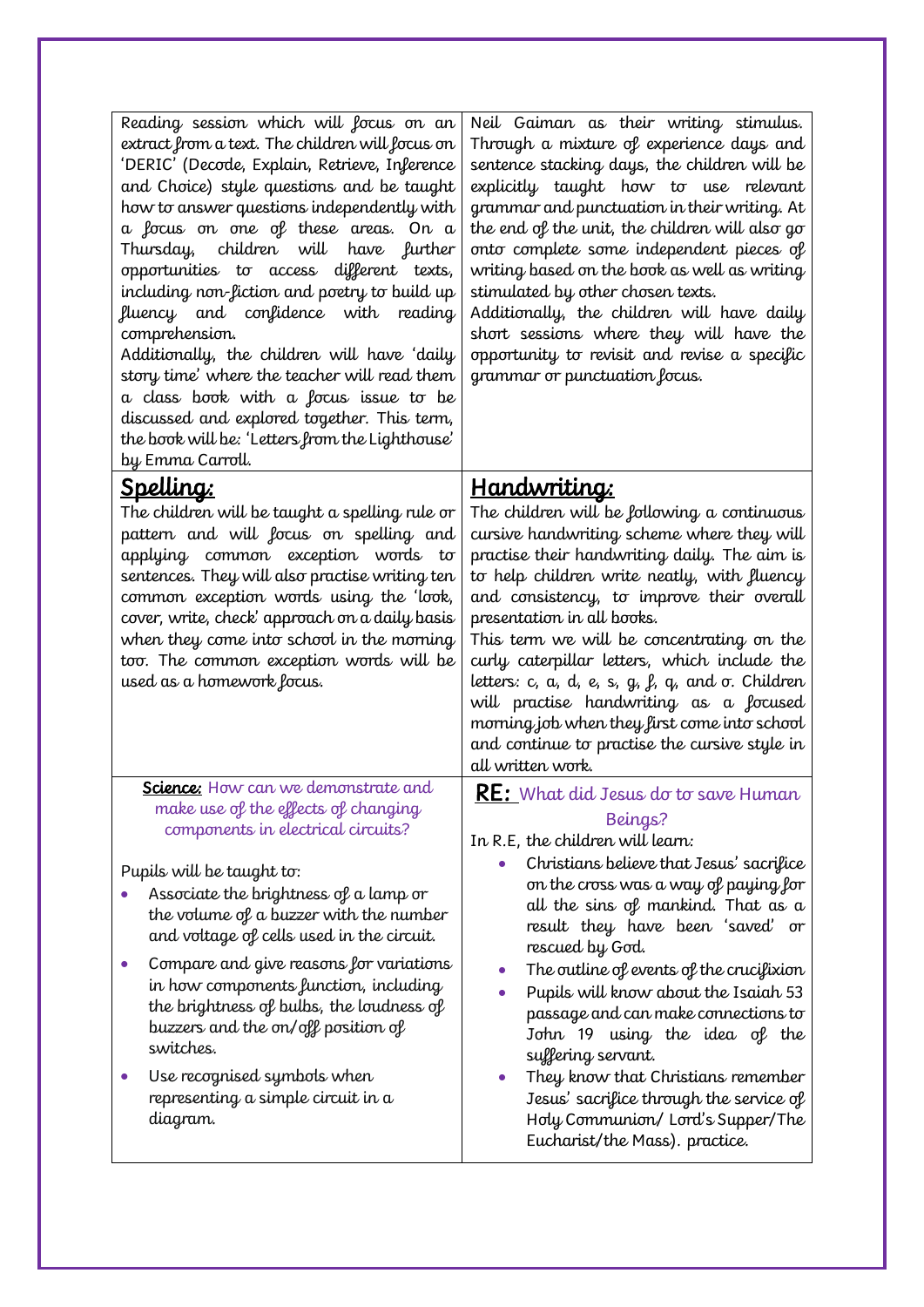| Reading session which will focus on an<br>extract from a text. The children will focus on<br>'DERIC' (Decode, Explain, Retrieve, Inference<br>and Choice) style questions and be taught<br>how to answer questions independently with<br>a focus on one of these areas. On a<br>Thursday, children will have further<br>opportunities to access different texts,<br>including non-fiction and poetry to build up<br>fluency and confidence with<br>reading<br>comprehension.<br>Additionally, the children will have 'daily<br>story time' where the teacher will read them<br>a class book with a focus issue to be<br>discussed and explored together. This term,<br>the book will be: 'Letters from the Lighthouse'<br>by Emma Carroll. | Neil Gaiman as their writing stimulus.<br>Through a mixture of experience days and<br>sentence stacking days, the children will be<br>explicitly taught how to use relevant<br>grammar and punctuation in their writing. At<br>the end of the unit, the children will also go<br>onto complete some independent pieces of<br>writing based on the book as well as writing<br>stimulated by other chosen texts.<br>Additionally, the children will have daily<br>short sessions where they will have the<br>opportunity to revisit and revise a specific<br>grammar or punctuation focus.                                   |
|--------------------------------------------------------------------------------------------------------------------------------------------------------------------------------------------------------------------------------------------------------------------------------------------------------------------------------------------------------------------------------------------------------------------------------------------------------------------------------------------------------------------------------------------------------------------------------------------------------------------------------------------------------------------------------------------------------------------------------------------|----------------------------------------------------------------------------------------------------------------------------------------------------------------------------------------------------------------------------------------------------------------------------------------------------------------------------------------------------------------------------------------------------------------------------------------------------------------------------------------------------------------------------------------------------------------------------------------------------------------------------|
| <u>Spelling:</u><br>The children will be taught a spelling rule or<br>pattern and will focus on spelling and<br>applying common exception words to<br>sentences. They will also practise writing ten<br>common exception words using the 'look,<br>cover, write, check' approach on a daily basis<br>when they come into school in the morning<br>too. The common exception words will be<br>used as a homework focus.                                                                                                                                                                                                                                                                                                                     | <u>Handwriting:</u><br>The children will be following a continuous<br>cursive handwriting scheme where they will<br>practise their handwriting daily. The aim is<br>to help children write neatly, with fluency<br>and consistency, to improve their overall<br>presentation in all books.<br>This term we will be concentrating on the<br>curly caterpillar letters, which include the<br>letters: c, a, d, e, s, g, $\beta$ , q, and $\sigma$ . Children<br>will practise handwriting as a focused<br>morning job when they first come into school<br>and continue to practise the cursive style in<br>all written work. |
| Science: How can we demonstrate and<br>make use of the effects of changing<br>components in electrical circuits?<br>Pupils will be taught to:<br>Associate the brightness of a lamp or<br>the volume of a buzzer with the number<br>and voltage of cells used in the circuit.<br>Compare and give reasons for variations<br>in how components function, including<br>the brightness of bulbs, the loudness of<br>buzzers and the on/off position of<br>switches.<br>Use recognised symbols when<br>representing a simple circuit in a<br>diagram.                                                                                                                                                                                          | <b>RE:</b> What did Jesus do to save Human<br>Beings?<br>In R.E, the children will learn:<br>Christians believe that Jesus' sacrifice<br>on the cross was a way of paying for<br>all the sins of mankind. That as a<br>result they have been 'saved' or<br>rescued by God.<br>The outline of events of the crucifixion<br>Pupils will know about the Isaiah 53<br>passage and can make connections to<br>John 19 using the idea of the<br>suffering servant.<br>They know that Christians remember<br>Jesus' sacrifice through the service of<br>Holy Communion/ Lord's Supper/The<br>Eucharist/the Mass). practice.       |